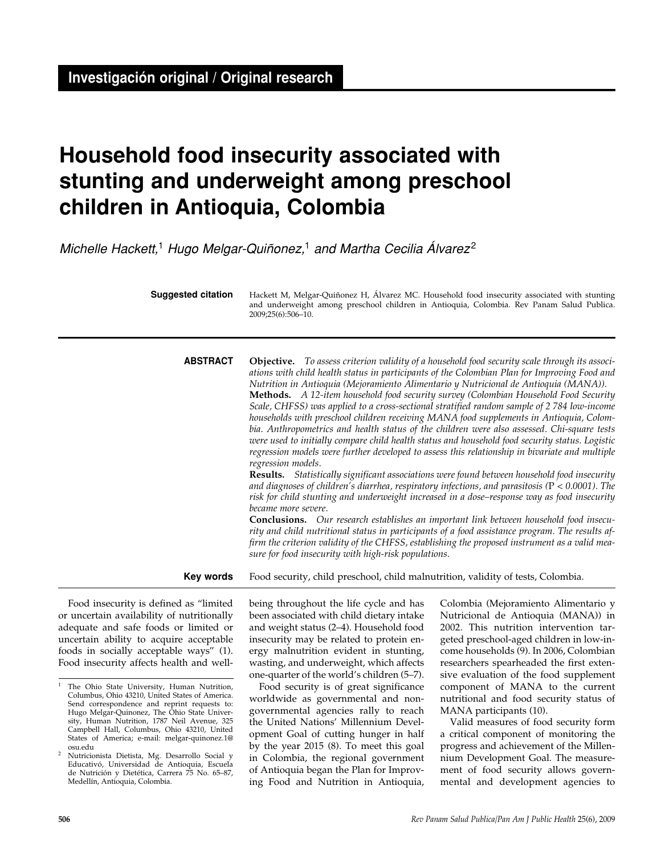# **Household food insecurity associated with stunting and underweight among preschool children in Antioquia, Colombia**

Michelle Hackett,<sup>1</sup> Hugo Melgar-Quiñonez,<sup>1</sup> and Martha Cecilia Álvarez<sup>2</sup>

| <b>Suggested citation</b> | Hackett M, Melgar-Quiñonez H, Álvarez MC. Household food insecurity associated with stunting                    |
|---------------------------|-----------------------------------------------------------------------------------------------------------------|
|                           | and underweight among preschool children in Antioquia, Colombia. Rev Panam Salud Publica.<br>2009:25(6):506-10. |
|                           |                                                                                                                 |

**Objective.** *To assess criterion validity of a household food security scale through its associations with child health status in participants of the Colombian Plan for Improving Food and Nutrition in Antioquia (Mejoramiento Alimentario y Nutricional de Antioquia (MANA)).*  **Methods.** *A 12-item household food security survey (Colombian Household Food Security Scale, CHFSS) was applied to a cross-sectional stratified random sample of 2 784 low-income households with preschool children receiving MANA food supplements in Antioquia, Colombia. Anthropometrics and health status of the children were also assessed. Chi-square tests were used to initially compare child health status and household food security status. Logistic regression models were further developed to assess this relationship in bivariate and multiple regression models.* **ABSTRACT**

> **Results.** *Statistically significant associations were found between household food insecurity and diagnoses of children's diarrhea, respiratory infections, and parasitosis (*P *< 0.0001). The risk for child stunting and underweight increased in a dose–response way as food insecurity became more severe.*

> **Conclusions.** *Our research establishes an important link between household food insecurity and child nutritional status in participants of a food assistance program. The results affirm the criterion validity of the CHFSS, establishing the proposed instrument as a valid measure for food insecurity with high-risk populations.*

**Key words**

Food security, child preschool, child malnutrition, validity of tests, Colombia.

Food insecurity is defined as "limited or uncertain availability of nutritionally adequate and safe foods or limited or uncertain ability to acquire acceptable foods in socially acceptable ways" (1). Food insecurity affects health and wellbeing throughout the life cycle and has been associated with child dietary intake and weight status (2–4). Household food insecurity may be related to protein energy malnutrition evident in stunting, wasting, and underweight, which affects one-quarter of the world's children (5–7).

Food security is of great significance worldwide as governmental and nongovernmental agencies rally to reach the United Nations' Millennium Development Goal of cutting hunger in half by the year 2015 (8). To meet this goal in Colombia, the regional government of Antioquia began the Plan for Improving Food and Nutrition in Antioquia,

Colombia (Mejoramiento Alimentario y Nutricional de Antioquia (MANA)) in 2002. This nutrition intervention targeted preschool-aged children in low-income households (9). In 2006, Colombian researchers spearheaded the first extensive evaluation of the food supplement component of MANA to the current nutritional and food security status of MANA participants (10).

Valid measures of food security form a critical component of monitoring the progress and achievement of the Millennium Development Goal. The measurement of food security allows governmental and development agencies to

<sup>1</sup> The Ohio State University, Human Nutrition, Columbus, Ohio 43210, United States of America. Send correspondence and reprint requests to: Hugo Melgar-Quinonez, The Ohio State University, Human Nutrition, 1787 Neil Avenue, 325 Campbell Hall, Columbus, Ohio 43210, United States of America; e-mail: melgar-quinonez.1@ osu.edu

<sup>2</sup> Nutricionista Dietista, Mg. Desarrollo Social y Educativó, Universidad de Antioquia, Escuela de Nutrición y Dietética, Carrera 75 No. 65–87, Medellín, Antioquia, Colombia.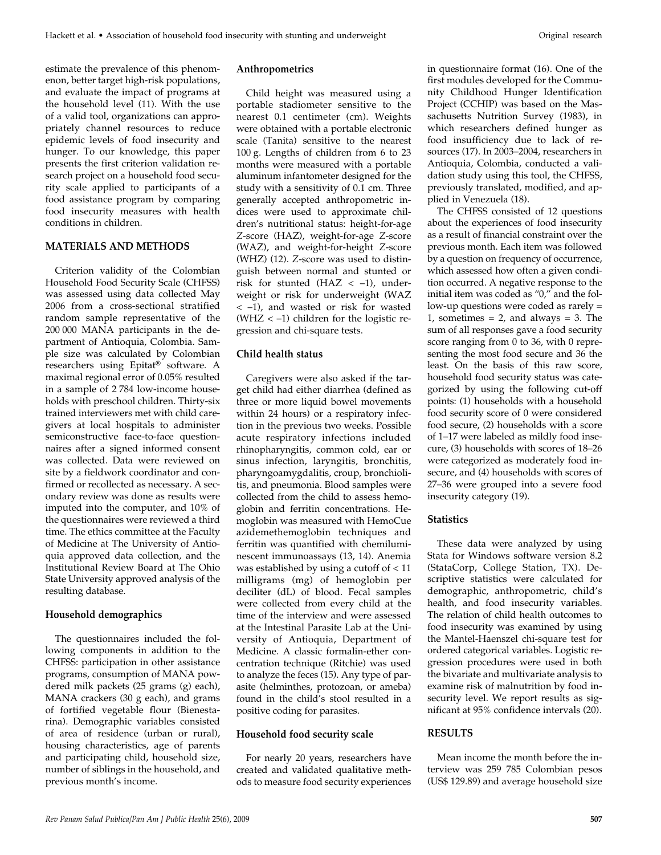estimate the prevalence of this phenomenon, better target high-risk populations, and evaluate the impact of programs at the household level (11). With the use of a valid tool, organizations can appropriately channel resources to reduce epidemic levels of food insecurity and hunger. To our knowledge, this paper presents the first criterion validation research project on a household food security scale applied to participants of a food assistance program by comparing food insecurity measures with health conditions in children.

## **MATERIALS AND METHODS**

Criterion validity of the Colombian Household Food Security Scale (CHFSS) was assessed using data collected May 2006 from a cross-sectional stratified random sample representative of the 200 000 MANA participants in the department of Antioquia, Colombia. Sample size was calculated by Colombian researchers using Epitat® software. A maximal regional error of 0.05% resulted in a sample of 2 784 low-income households with preschool children. Thirty-six trained interviewers met with child caregivers at local hospitals to administer semiconstructive face-to-face questionnaires after a signed informed consent was collected. Data were reviewed on site by a fieldwork coordinator and confirmed or recollected as necessary. A secondary review was done as results were imputed into the computer, and 10% of the questionnaires were reviewed a third time. The ethics committee at the Faculty of Medicine at The University of Antioquia approved data collection, and the Institutional Review Board at The Ohio State University approved analysis of the resulting database.

## **Household demographics**

The questionnaires included the following components in addition to the CHFSS: participation in other assistance programs, consumption of MANA powdered milk packets (25 grams (g) each), MANA crackers (30 g each), and grams of fortified vegetable flour (Bienestarina). Demographic variables consisted of area of residence (urban or rural), housing characteristics, age of parents and participating child, household size, number of siblings in the household, and previous month's income.

## **Anthropometrics**

Child height was measured using a portable stadiometer sensitive to the nearest 0.1 centimeter (cm). Weights were obtained with a portable electronic scale (Tanita) sensitive to the nearest 100 g. Lengths of children from 6 to 23 months were measured with a portable aluminum infantometer designed for the study with a sensitivity of 0.1 cm. Three generally accepted anthropometric indices were used to approximate children's nutritional status: height-for-age *Z*-score (HAZ), weight-for-age *Z*-score (WAZ), and weight-for-height *Z*-score (WHZ) (12). *Z*-score was used to distinguish between normal and stunted or risk for stunted (HAZ  $<-1$ ), underweight or risk for underweight (WAZ < –1), and wasted or risk for wasted (WHZ  $<-1$ ) children for the logistic regression and chi-square tests.

## **Child health status**

Caregivers were also asked if the target child had either diarrhea (defined as three or more liquid bowel movements within 24 hours) or a respiratory infection in the previous two weeks. Possible acute respiratory infections included rhinopharyngitis, common cold, ear or sinus infection, laryngitis, bronchitis, pharyngoamygdalitis, croup, bronchiolitis, and pneumonia. Blood samples were collected from the child to assess hemoglobin and ferritin concentrations. Hemoglobin was measured with HemoCue azidemethemoglobin techniques and ferritin was quantified with chemiluminescent immunoassays (13, 14). Anemia was established by using a cutoff of < 11 milligrams (mg) of hemoglobin per deciliter (dL) of blood. Fecal samples were collected from every child at the time of the interview and were assessed at the Intestinal Parasite Lab at the University of Antioquia, Department of Medicine. A classic formalin-ether concentration technique (Ritchie) was used to analyze the feces (15). Any type of parasite (helminthes, protozoan, or ameba) found in the child's stool resulted in a positive coding for parasites.

## **Household food security scale**

For nearly 20 years, researchers have created and validated qualitative methods to measure food security experiences

in questionnaire format (16). One of the first modules developed for the Community Childhood Hunger Identification Project (CCHIP) was based on the Massachusetts Nutrition Survey (1983), in which researchers defined hunger as food insufficiency due to lack of resources (17). In 2003–2004, researchers in Antioquia, Colombia, conducted a validation study using this tool, the CHFSS, previously translated, modified, and applied in Venezuela (18).

The CHFSS consisted of 12 questions about the experiences of food insecurity as a result of financial constraint over the previous month. Each item was followed by a question on frequency of occurrence, which assessed how often a given condition occurred. A negative response to the initial item was coded as "0," and the follow-up questions were coded as rarely = 1, sometimes  $= 2$ , and always  $= 3$ . The sum of all responses gave a food security score ranging from 0 to 36, with 0 representing the most food secure and 36 the least. On the basis of this raw score, household food security status was categorized by using the following cut-off points: (1) households with a household food security score of 0 were considered food secure, (2) households with a score of 1–17 were labeled as mildly food insecure, (3) households with scores of 18–26 were categorized as moderately food insecure, and (4) households with scores of 27–36 were grouped into a severe food insecurity category (19).

## **Statistics**

These data were analyzed by using Stata for Windows software version 8.2 (StataCorp, College Station, TX). Descriptive statistics were calculated for demographic, anthropometric, child's health, and food insecurity variables. The relation of child health outcomes to food insecurity was examined by using the Mantel-Haenszel chi-square test for ordered categorical variables. Logistic regression procedures were used in both the bivariate and multivariate analysis to examine risk of malnutrition by food insecurity level. We report results as significant at 95% confidence intervals (20).

## **RESULTS**

Mean income the month before the interview was 259 785 Colombian pesos (US\$ 129.89) and average household size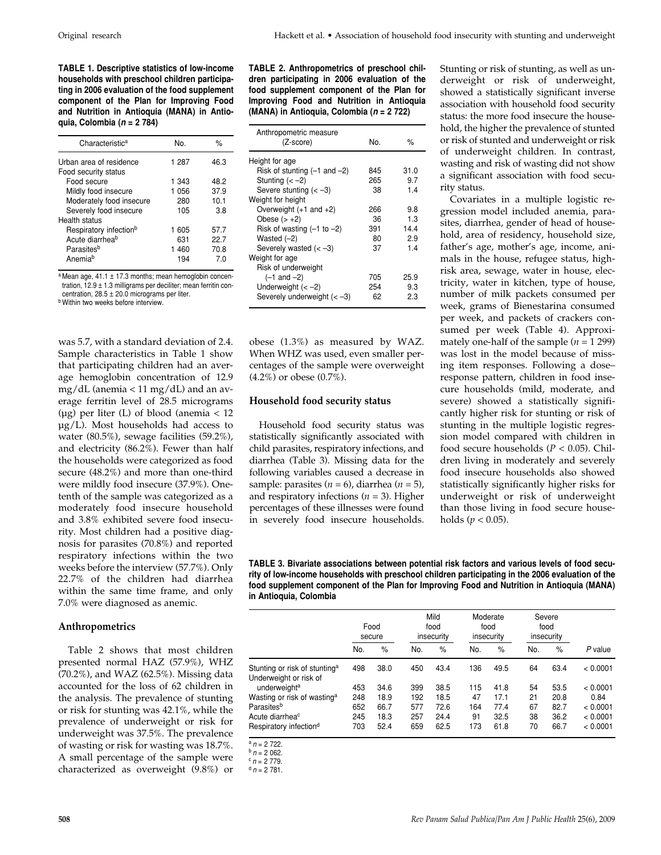**TABLE 1. Descriptive statistics of low-income households with preschool children participating in 2006 evaluation of the food supplement component of the Plan for Improving Food and Nutrition in Antioquia (MANA) in Antioquia, Colombia (<sup>n</sup> = 2 784)** 

| Characteristica<br>No.<br>%<br>Urban area of residence<br>1 287<br>Food security status<br>Food secure<br>1 343<br>Mildly food insecure<br>1056<br>Moderately food insecure<br>280<br>Severely food insecure<br>105<br>Health status<br>Respiratory infection <sup>b</sup><br>1 605<br>Acute diarrheab<br>631<br>Parasitesb<br>1460<br>Anemiab<br>194 |  |      |
|-------------------------------------------------------------------------------------------------------------------------------------------------------------------------------------------------------------------------------------------------------------------------------------------------------------------------------------------------------|--|------|
|                                                                                                                                                                                                                                                                                                                                                       |  |      |
|                                                                                                                                                                                                                                                                                                                                                       |  | 46.3 |
|                                                                                                                                                                                                                                                                                                                                                       |  | 48.2 |
|                                                                                                                                                                                                                                                                                                                                                       |  | 37.9 |
|                                                                                                                                                                                                                                                                                                                                                       |  | 10.1 |
|                                                                                                                                                                                                                                                                                                                                                       |  | 3.8  |
|                                                                                                                                                                                                                                                                                                                                                       |  | 57.7 |
|                                                                                                                                                                                                                                                                                                                                                       |  | 22.7 |
|                                                                                                                                                                                                                                                                                                                                                       |  | 70.8 |
|                                                                                                                                                                                                                                                                                                                                                       |  | 7.0  |

a Mean age, 41.1 ± 17.3 months; mean hemoglobin concentration,  $12.9 \pm 1.3$  milligrams per deciliter; mean ferritin concentration,  $28.5 \pm 20.0$  micrograms per liter.

**b** Within two weeks before interview.

was 5.7, with a standard deviation of 2.4. Sample characteristics in Table 1 show that participating children had an average hemoglobin concentration of 12.9 mg/dL (anemia < 11 mg/dL) and an average ferritin level of 28.5 micrograms ( $\mu$ g) per liter (L) of blood (anemia < 12 µg/L). Most households had access to water (80.5%), sewage facilities (59.2%), and electricity (86.2%). Fewer than half the households were categorized as food secure (48.2%) and more than one-third were mildly food insecure (37.9%). Onetenth of the sample was categorized as a moderately food insecure household and 3.8% exhibited severe food insecurity. Most children had a positive diagnosis for parasites (70.8%) and reported respiratory infections within the two weeks before the interview (57.7%). Only 22.7% of the children had diarrhea within the same time frame, and only 7.0% were diagnosed as anemic.

#### **Anthropometrics**

Table 2 shows that most children presented normal HAZ (57.9%), WHZ (70.2%), and WAZ (62.5%). Missing data accounted for the loss of 62 children in the analysis. The prevalence of stunting or risk for stunting was 42.1%, while the prevalence of underweight or risk for underweight was 37.5%. The prevalence of wasting or risk for wasting was 18.7%. A small percentage of the sample were characterized as overweight (9.8%) or

**TABLE 2. Anthropometrics of preschool children participating in 2006 evaluation of the food supplement component of the Plan for Improving Food and Nutrition in Antioquia (MANA) in Antioquia, Colombia (<sup>n</sup> = 2 722)**

| Anthropometric measure<br>(Z-score)     | No. | %    |
|-----------------------------------------|-----|------|
|                                         |     |      |
| Height for age                          |     |      |
| Risk of stunting $(-1 \text{ and } -2)$ | 845 | 31.0 |
| Stunting $(< -2)$                       | 265 | 9.7  |
| Severe stunting $(< -3)$                | 38  | 1.4  |
| Weight for height                       |     |      |
| Overweight $(+1$ and $+2)$              | 266 | 9.8  |
| Obese $(> +2)$                          | 36  | 1.3  |
| Risk of wasting $(-1)$ to $-2$ )        | 391 | 14.4 |
| Wasted $(-2)$                           | 80  | 2.9  |
| Severely wasted $(< -3)$                | 37  | 1.4  |
| Weight for age                          |     |      |
| Risk of underweight                     |     |      |
| $(-1$ and $-2)$                         | 705 | 25.9 |
| Underweight $(< -2)$                    | 254 | 9.3  |
| Severely underweight $(< -3)$           | 62  | 2.3  |

obese (1.3%) as measured by WAZ. When WHZ was used, even smaller percentages of the sample were overweight (4.2%) or obese (0.7%).

#### **Household food security status**

Household food security status was statistically significantly associated with child parasites, respiratory infections, and diarrhea (Table 3). Missing data for the following variables caused a decrease in sample: parasites  $(n = 6)$ , diarrhea  $(n = 5)$ , and respiratory infections  $(n = 3)$ . Higher percentages of these illnesses were found in severely food insecure households. Stunting or risk of stunting, as well as underweight or risk of underweight, showed a statistically significant inverse association with household food security status: the more food insecure the household, the higher the prevalence of stunted or risk of stunted and underweight or risk of underweight children. In contrast, wasting and risk of wasting did not show a significant association with food security status.

Covariates in a multiple logistic regression model included anemia, parasites, diarrhea, gender of head of household, area of residency, household size, father's age, mother's age, income, animals in the house, refugee status, highrisk area, sewage, water in house, electricity, water in kitchen, type of house, number of milk packets consumed per week, grams of Bienestarina consumed per week, and packets of crackers consumed per week (Table 4). Approximately one-half of the sample  $(n = 1 299)$ was lost in the model because of missing item responses. Following a dose– response pattern, children in food insecure households (mild, moderate, and severe) showed a statistically significantly higher risk for stunting or risk of stunting in the multiple logistic regression model compared with children in food secure households (*P* < 0.05). Children living in moderately and severely food insecure households also showed statistically significantly higher risks for underweight or risk of underweight than those living in food secure households (*p* < 0.05).

**TABLE 3. Bivariate associations between potential risk factors and various levels of food security of low-income households with preschool children participating in the 2006 evaluation of the food supplement component of the Plan for Improving Food and Nutrition in Antioquia (MANA) in Antioquia, Colombia**

|                                                                     | Food<br>secure |      | Mild<br>food<br>insecurity |      |     | Moderate<br>food<br>insecurity |     | Severe<br>food<br>insecurity |          |
|---------------------------------------------------------------------|----------------|------|----------------------------|------|-----|--------------------------------|-----|------------------------------|----------|
|                                                                     | No.            | $\%$ | No.                        | $\%$ | No. | $\frac{9}{6}$                  | No. | $\frac{9}{6}$                | P value  |
| Stunting or risk of stunting <sup>a</sup><br>Underweight or risk of | 498            | 38.0 | 450                        | 43.4 | 136 | 49.5                           | 64  | 63.4                         | < 0.0001 |
| underweight <sup>a</sup>                                            | 453            | 34.6 | 399                        | 38.5 | 115 | 41.8                           | 54  | 53.5                         | < 0.0001 |
| Wasting or risk of wasting <sup>a</sup>                             | 248            | 18.9 | 192                        | 18.5 | 47  | 17.1                           | 21  | 20.8                         | 0.84     |
| Parasites <sup>b</sup>                                              | 652            | 66.7 | 577                        | 72.6 | 164 | 77.4                           | 67  | 82.7                         | < 0.0001 |
| Acute diarrhea <sup>c</sup>                                         | 245            | 18.3 | 257                        | 24.4 | 91  | 32.5                           | 38  | 36.2                         | < 0.0001 |
| Respiratory infection <sup>d</sup>                                  | 703            | 52.4 | 659                        | 62.5 | 173 | 61.8                           | 70  | 66.7                         | < 0.0001 |

 $a_n = 2722$ .

 $h n = 2062$ .

 $c_n = 2779$ .

 $d n = 2781$ .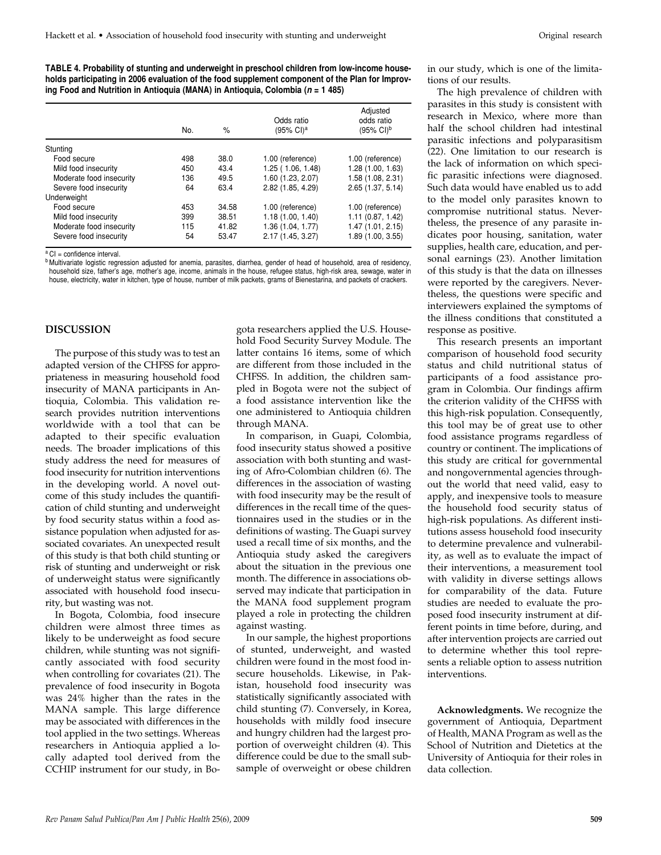**TABLE 4. Probability of stunting and underweight in preschool children from low-income households participating in 2006 evaluation of the food supplement component of the Plan for Improving Food and Nutrition in Antioquia (MANA) in Antioquia, Colombia (<sup>n</sup> = 1 485)**

|                          | No. | %     | Odds ratio<br>(95% CI)ª | Adjusted<br>odds ratio<br>(95% CI) <sup>b</sup> |
|--------------------------|-----|-------|-------------------------|-------------------------------------------------|
| Stuntina                 |     |       |                         |                                                 |
| Food secure              | 498 | 38.0  | 1.00 (reference)        | 1.00 (reference)                                |
| Mild food insecurity     | 450 | 43.4  | 1.25 (1.06, 1.48)       | 1.28 (1.00, 1.63)                               |
| Moderate food insecurity | 136 | 49.5  | 1.60 (1.23, 2.07)       | 1.58 (1.08, 2.31)                               |
| Severe food insecurity   | 64  | 63.4  | 2.82 (1.85, 4.29)       | 2.65(1.37, 5.14)                                |
| Underweight              |     |       |                         |                                                 |
| Food secure              | 453 | 34.58 | 1.00 (reference)        | 1.00 (reference)                                |
| Mild food insecurity     | 399 | 38.51 | 1.18(1.00, 1.40)        | 1.11(0.87, 1.42)                                |
| Moderate food insecurity | 115 | 41.82 | 1.36 (1.04, 1.77)       | 1.47 (1.01, 2.15)                               |
| Severe food insecurity   | 54  | 53.47 | 2.17 (1.45, 3.27)       | 1.89(1.00, 3.55)                                |

<sup>a</sup> CI = confidence interval.

b Multivariate logistic regression adjusted for anemia, parasites, diarrhea, gender of head of household, area of residency, household size, father's age, mother's age, income, animals in the house, refugee status, high-risk area, sewage, water in house, electricity, water in kitchen, type of house, number of milk packets, grams of Bienestarina, and packets of crackers.

#### **DISCUSSION**

The purpose of this study was to test an adapted version of the CHFSS for appropriateness in measuring household food insecurity of MANA participants in Antioquia, Colombia. This validation research provides nutrition interventions worldwide with a tool that can be adapted to their specific evaluation needs. The broader implications of this study address the need for measures of food insecurity for nutrition interventions in the developing world. A novel outcome of this study includes the quantification of child stunting and underweight by food security status within a food assistance population when adjusted for associated covariates. An unexpected result of this study is that both child stunting or risk of stunting and underweight or risk of underweight status were significantly associated with household food insecurity, but wasting was not.

In Bogota, Colombia, food insecure children were almost three times as likely to be underweight as food secure children, while stunting was not significantly associated with food security when controlling for covariates (21). The prevalence of food insecurity in Bogota was 24% higher than the rates in the MANA sample. This large difference may be associated with differences in the tool applied in the two settings. Whereas researchers in Antioquia applied a locally adapted tool derived from the CCHIP instrument for our study, in Bo-

gota researchers applied the U.S. Household Food Security Survey Module. The latter contains 16 items, some of which are different from those included in the CHFSS. In addition, the children sampled in Bogota were not the subject of a food assistance intervention like the one administered to Antioquia children through MANA.

In comparison, in Guapi, Colombia, food insecurity status showed a positive association with both stunting and wasting of Afro-Colombian children (6). The differences in the association of wasting with food insecurity may be the result of differences in the recall time of the questionnaires used in the studies or in the definitions of wasting. The Guapi survey used a recall time of six months, and the Antioquia study asked the caregivers about the situation in the previous one month. The difference in associations observed may indicate that participation in the MANA food supplement program played a role in protecting the children against wasting.

In our sample, the highest proportions of stunted, underweight, and wasted children were found in the most food insecure households. Likewise, in Pakistan, household food insecurity was statistically significantly associated with child stunting (7). Conversely, in Korea, households with mildly food insecure and hungry children had the largest proportion of overweight children (4). This difference could be due to the small subsample of overweight or obese children in our study, which is one of the limitations of our results.

The high prevalence of children with parasites in this study is consistent with research in Mexico, where more than half the school children had intestinal parasitic infections and polyparasitism (22). One limitation to our research is the lack of information on which specific parasitic infections were diagnosed. Such data would have enabled us to add to the model only parasites known to compromise nutritional status. Nevertheless, the presence of any parasite indicates poor housing, sanitation, water supplies, health care, education, and personal earnings (23). Another limitation of this study is that the data on illnesses were reported by the caregivers. Nevertheless, the questions were specific and interviewers explained the symptoms of the illness conditions that constituted a response as positive.

This research presents an important comparison of household food security status and child nutritional status of participants of a food assistance program in Colombia. Our findings affirm the criterion validity of the CHFSS with this high-risk population. Consequently, this tool may be of great use to other food assistance programs regardless of country or continent. The implications of this study are critical for governmental and nongovernmental agencies throughout the world that need valid, easy to apply, and inexpensive tools to measure the household food security status of high-risk populations. As different institutions assess household food insecurity to determine prevalence and vulnerability, as well as to evaluate the impact of their interventions, a measurement tool with validity in diverse settings allows for comparability of the data. Future studies are needed to evaluate the proposed food insecurity instrument at different points in time before, during, and after intervention projects are carried out to determine whether this tool represents a reliable option to assess nutrition interventions.

**Acknowledgments.** We recognize the government of Antioquia, Department of Health, MANA Program as well as the School of Nutrition and Dietetics at the University of Antioquia for their roles in data collection.